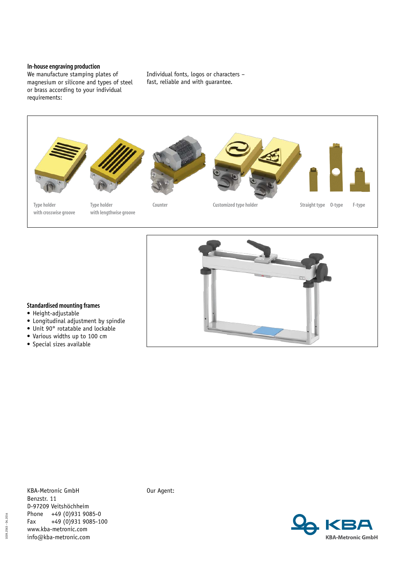## **In-house engraving production**

We manufacture stamping plates of magnesium or silicone and types of steel or brass according to your individual requirements:

Individual fonts, logos or characters – fast, reliable and with guarantee.





## **Standardised mounting frames**

- Height-adjustable
- • Longitudinal adjustment by spindle
- • Unit 90° rotatable and lockable
- • Various widths up to 100 cm
- • Special sizes available

KBA-Metronic GmbH Benzstr. 11 D-97209 Veitshöchheim Phone +49 (0)931 9085-0<br>Fax +49 (0)931 9085-10  $+49(0)9319085-100$ www.kba-metronic.com info@kba-metronic.com

Our Agent:

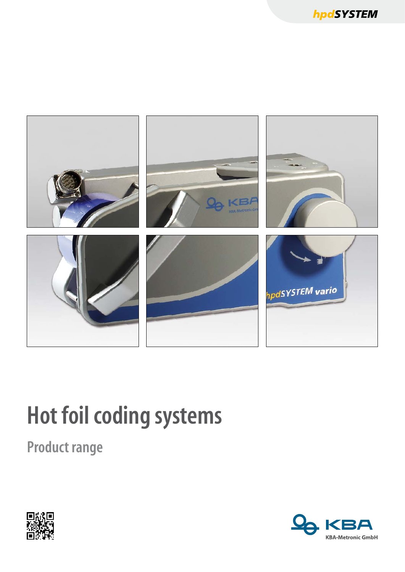

# **Hot foil coding systems**

**Product range** 



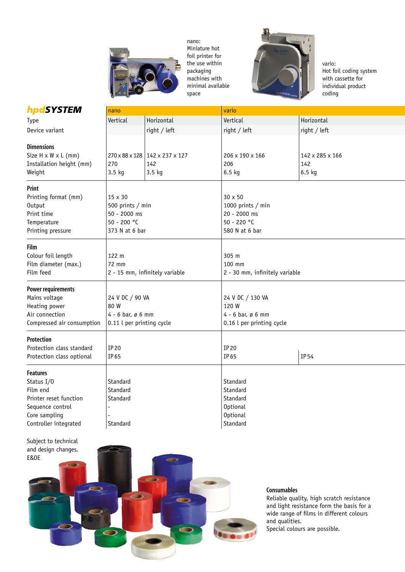

nano: Miniature hot foil printer for the use within packaging machines with minimal available space



vario: Hot foil coding system with cassette for individual product coding

| hpdSYSTEM                       | nano                           |                                | vario                          |                  |  |
|---------------------------------|--------------------------------|--------------------------------|--------------------------------|------------------|--|
| Type                            | Vertical                       | Horizontal                     | Vertical                       | Horizontal       |  |
| Device variant                  |                                | right / left                   | right / left                   | $right /$ left   |  |
| <b>Dimensions</b>               |                                |                                |                                |                  |  |
| Size $H \times W \times L$ (mm) |                                | 270 x 88 x 128 142 x 237 x 127 | 206 x 190 x 166                | 142 x 285 x 166  |  |
| Installation height (mm)        | 270                            | 142                            | 206                            | 142              |  |
| Weight                          | $3.5$ kg                       | $3.5$ kg                       | $6.5$ kg                       | $6.5 \text{ kg}$ |  |
|                                 |                                |                                |                                |                  |  |
| Print                           |                                |                                |                                |                  |  |
| Printing format (mm)            | 15 x 30                        |                                | 30 x 50                        |                  |  |
| Output                          | 500 prints / min               |                                | 1000 prints / min              |                  |  |
| Print time                      | 50 - 2000 ms                   |                                | 20 - 2000 ms                   |                  |  |
| Temperature                     | 50 - 200 °C                    |                                | 50 - 220 °C                    |                  |  |
| Printing pressure               | 373 N at 6 bar                 |                                | 580 N at 6 bar                 |                  |  |
| Film                            |                                |                                |                                |                  |  |
| Colour foil length              | 122 m                          |                                | 305 m                          |                  |  |
| Film diameter (max.)            | 72 mm                          |                                | 100 mm                         |                  |  |
| Film feed                       | 2 - 15 mm, infinitely variable |                                | 2 - 30 mm, infinitely variable |                  |  |
|                                 |                                |                                |                                |                  |  |
| <b>Power requirements</b>       |                                |                                |                                |                  |  |
| Mains voltage                   | 24 V DC / 90 VA                |                                | 24 V DC / 130 VA               |                  |  |
| Heating power                   | 80 W                           |                                | 120 W                          |                  |  |
| Air connection                  | $4 - 6$ bar, ø 6 mm            |                                | $4 - 6$ bar, ø 6 mm            |                  |  |
| Compressed air consumption      | 0.11 l per printing cycle      |                                | 0.16 l per printing cycle      |                  |  |
| Protection                      |                                |                                |                                |                  |  |
| Protection class standard       | IP 20                          |                                | IP 20                          |                  |  |
| Protection class optional       | IP 65                          |                                | IP 65                          | IP 54            |  |
|                                 |                                |                                |                                |                  |  |
| <b>Features</b>                 |                                |                                |                                |                  |  |
| Status I/0                      | Standard                       |                                | Standard                       |                  |  |
| Film end                        | Standard                       |                                | Standard                       |                  |  |
| Printer reset function          | Standard                       |                                | Standard                       |                  |  |
| Sequence control                |                                |                                | <b>Optional</b>                |                  |  |
| Core sampling                   |                                |                                | <b>Optional</b>                |                  |  |
| Controller integrated           | Standard                       |                                | Standard                       |                  |  |



### **Consumables**

Reliable quality, high scratch resistance and light resistance form the basis for a wide range of films in different colours and qualities. Special colours are possible.